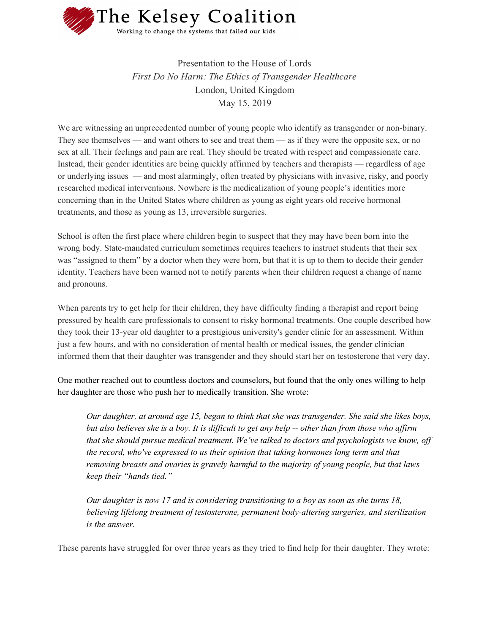

Presentation to the House of Lords *First Do No Harm: The Ethics of Transgender Healthcare* London, United Kingdom May 15, 2019

We are witnessing an unprecedented number of young people who identify as transgender or non-binary. They see themselves — and want others to see and treat them — as if they were the opposite sex, or no sex at all. Their feelings and pain are real. They should be treated with respect and compassionate care. Instead, their gender identities are being quickly affirmed by teachers and therapists — regardless of age or underlying issues — and most alarmingly, often treated by physicians with invasive, risky, and poorly researched medical interventions. Nowhere is the medicalization of young people's identities more concerning than in the United States where children as young as eight years old receive hormonal treatments, and those as young as 13, irreversible surgeries.

School is often the first place where children begin to suspect that they may have been born into the wrong body. State-mandated curriculum sometimes requires teachers to instruct students that their sex was "assigned to them" by a doctor when they were born, but that it is up to them to decide their gender identity. Teachers have been warned not to notify parents when their children request a change of name and pronouns.

When parents try to get help for their children, they have difficulty finding a therapist and report being pressured by health care professionals to consent to risky hormonal treatments. One couple described how they took their 13-year old daughter to a prestigious university's gender clinic for an assessment. Within just a few hours, and with no consideration of mental health or medical issues, the gender clinician informed them that their daughter was transgender and they should start her on testosterone that very day.

One mother reached out to countless doctors and counselors, but found that the only ones willing to help her daughter are those who push her to medically transition. She wrote:

*Our daughter, at around age 15, began to think that she was transgender. She said she likes boys,* but also believes she is a boy. It is difficult to get any help -- other than from those who affirm *that she should pursue medical treatment. We've talked to doctors and psychologists we know, of the record, who've expressed to us their opinion that taking hormones long term and that removing breasts and ovaries is gravely harmful to the majority of young people, but that laws keep their "hands tied."*

*Our daughter is now 17 and is considering transitioning to a boy as soon as she turns 18, believing lifelong treatment of testosterone, permanent body-altering surgeries, and sterilization is the answer.*

These parents have struggled for over three years as they tried to find help for their daughter. They wrote: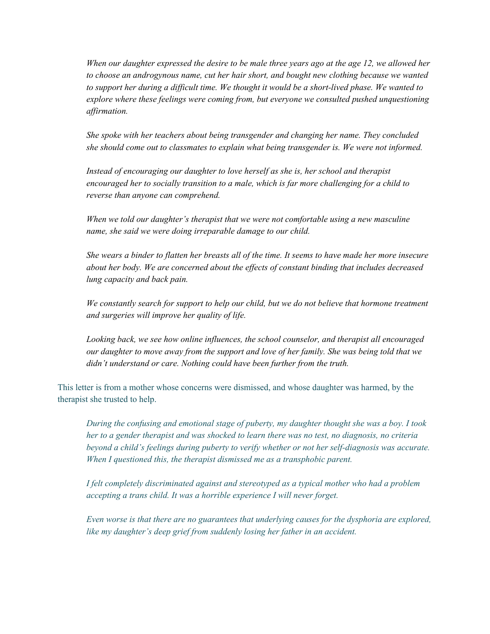When our daughter expressed the desire to be male three years ago at the age 12, we allowed her *to choose an androgynous name, cut her hair short, and bought new clothing because we wanted* to support her during a difficult time. We thought it would be a short-lived phase. We wanted to *explore where these feelings were coming from, but everyone we consulted pushed unquestioning af irmation.*

*She spoke with her teachers about being transgender and changing her name. They concluded she should come out to classmates to explain what being transgender is. We were not informed.*

*Instead of encouraging our daughter to love herself as she is, her school and therapist encouraged her to socially transition to a male, which is far more challenging for a child to reverse than anyone can comprehend.*

*When we told our daughter's therapist that we were not comfortable using a new masculine name, she said we were doing irreparable damage to our child.*

She wears a binder to flatten her breasts all of the time. It seems to have made her more insecure *about her body. We are concerned about the ef ects of constant binding that includes decreased lung capacity and back pain.*

*We constantly search for support to help our child, but we do not believe that hormone treatment and surgeries will improve her quality of life.*

*Looking back, we see how online influences, the school counselor, and therapist all encouraged* our daughter to move away from the support and love of her family. She was being told that we *didn't understand or care. Nothing could have been further from the truth.*

This letter is from a mother whose concerns were dismissed, and whose daughter was harmed, by the therapist she trusted to help.

*During the confusing and emotional stage of puberty, my daughter thought she was a boy. I took her to a gender therapist and was shocked to learn there was no test, no diagnosis, no criteria beyond a child's feelings during puberty to verify whether or not her self-diagnosis was accurate. When I questioned this, the therapist dismissed me as a transphobic parent.*

*I felt completely discriminated against and stereotyped as a typical mother who had a problem accepting a trans child. It was a horrible experience I will never forget.*

*Even worse is that there are no guarantees that underlying causes for the dysphoria are explored, like my daughter's deep grief from suddenly losing her father in an accident.*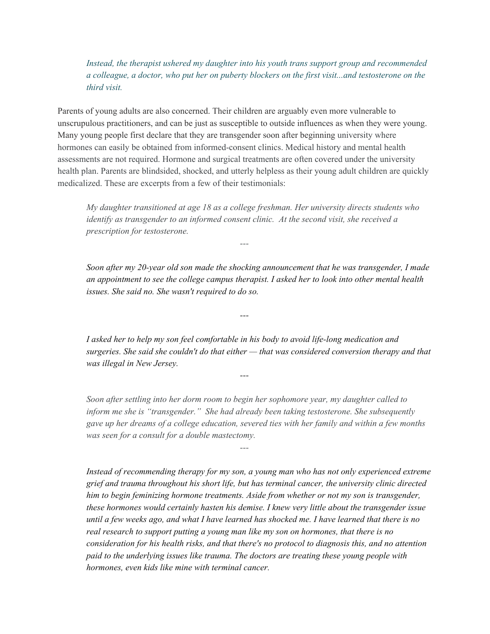*Instead, the therapist ushered my daughter into his youth trans support group and recommended a colleague, a doctor, who put her on puberty blockers on the first visit...and testosterone on the third visit.*

Parents of young adults are also concerned. Their children are arguably even more vulnerable to unscrupulous practitioners, and can be just as susceptible to outside influences as when they were young. Many young people first declare that they are transgender soon after beginning university where hormones can easily be obtained from informed-consent clinics. Medical history and mental health assessments are not required. Hormone and surgical treatments are often covered under the university health plan. Parents are blindsided, shocked, and utterly helpless as their young adult children are quickly medicalized. These are excerpts from a few of their testimonials:

*My daughter transitioned at age 18 as a college freshman. Her university directs students who identify as transgender to an informed consent clinic. At the second visit, she received a prescription for testosterone.*

*---*

*---*

*---*

*---*

*Soon after my 20-year old son made the shocking announcement that he was transgender, I made an appointment to see the college campus therapist. I asked her to look into other mental health issues. She said no. She wasn't required to do so.*

*I asked her to help my son feel comfortable in his body to avoid life-long medication and surgeries. She said she couldn't do that either — that was considered conversion therapy and that was illegal in New Jersey.*

*Soon after settling into her dorm room to begin her sophomore year, my daughter called to inform me she is "transgender." She had already been taking testosterone. She subsequently gave up her dreams of a college education, severed ties with her family and within a few months was seen for a consult for a double mastectomy.*

*Instead of recommending therapy for my son, a young man who has not only experienced extreme grief and trauma throughout his short life, but has terminal cancer, the university clinic directed him to begin feminizing hormone treatments. Aside from whether or not my son is transgender, these hormones would certainly hasten his demise. I knew very little about the transgender issue* until a few weeks ago, and what I have learned has shocked me. I have learned that there is no *real research to support putting a young man like my son on hormones, that there is no consideration for his health risks, and that there's no protocol to diagnosis this, and no attention paid to the underlying issues like trauma. The doctors are treating these young people with hormones, even kids like mine with terminal cancer.*